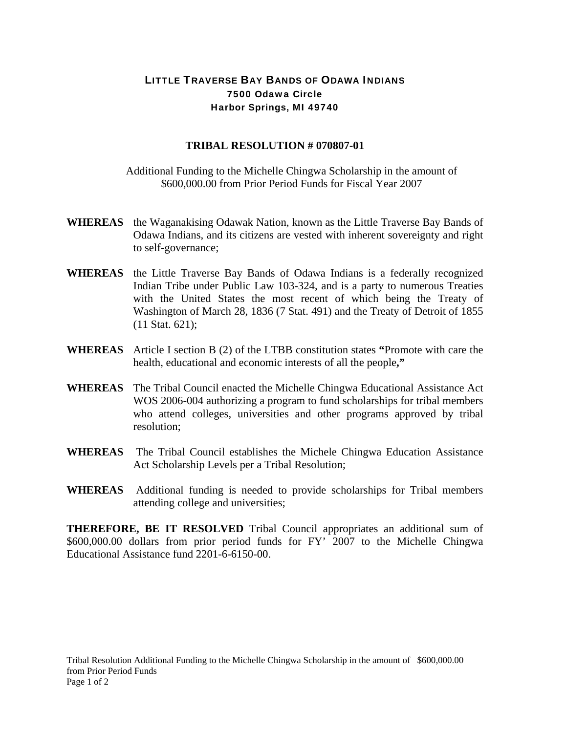## LITTLE TRAVERSE BAY BANDS OF ODAWA INDIANS 7500 Odawa Circle Harbor Springs, MI 49740

## **TRIBAL RESOLUTION # 070807-01**

Additional Funding to the Michelle Chingwa Scholarship in the amount of \$600,000.00 from Prior Period Funds for Fiscal Year 2007

- **WHEREAS** the Waganakising Odawak Nation, known as the Little Traverse Bay Bands of Odawa Indians, and its citizens are vested with inherent sovereignty and right to self-governance;
- **WHEREAS** the Little Traverse Bay Bands of Odawa Indians is a federally recognized Indian Tribe under Public Law 103-324, and is a party to numerous Treaties with the United States the most recent of which being the Treaty of Washington of March 28, 1836 (7 Stat. 491) and the Treaty of Detroit of 1855 (11 Stat. 621);
- **WHEREAS** Article I section B (2) of the LTBB constitution states **"**Promote with care the health, educational and economic interests of all the people**,"**
- **WHEREAS** The Tribal Council enacted the Michelle Chingwa Educational Assistance Act WOS 2006-004 authorizing a program to fund scholarships for tribal members who attend colleges, universities and other programs approved by tribal resolution;
- **WHEREAS** The Tribal Council establishes the Michele Chingwa Education Assistance Act Scholarship Levels per a Tribal Resolution;
- **WHEREAS** Additional funding is needed to provide scholarships for Tribal members attending college and universities;

**THEREFORE, BE IT RESOLVED** Tribal Council appropriates an additional sum of \$600,000.00 dollars from prior period funds for FY' 2007 to the Michelle Chingwa Educational Assistance fund 2201-6-6150-00.